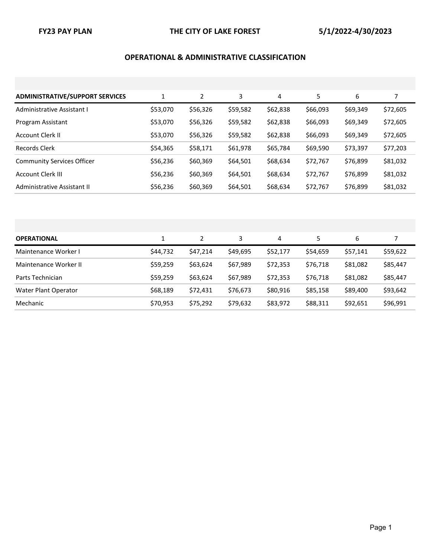### **OPERATIONAL & ADMINISTRATIVE CLASSIFICATION**

| <b>ADMINISTRATIVE/SUPPORT SERVICES</b> | 1        |          | 3        | 4        | 5        | 6        |          |
|----------------------------------------|----------|----------|----------|----------|----------|----------|----------|
| Administrative Assistant I             | \$53,070 | \$56,326 | \$59,582 | \$62,838 | \$66,093 | \$69,349 | \$72,605 |
| Program Assistant                      | \$53,070 | \$56,326 | \$59,582 | \$62,838 | \$66,093 | \$69,349 | \$72,605 |
| Account Clerk II                       | \$53,070 | \$56,326 | \$59,582 | \$62,838 | \$66,093 | \$69,349 | \$72,605 |
| <b>Records Clerk</b>                   | \$54,365 | \$58,171 | \$61,978 | \$65,784 | \$69,590 | \$73,397 | \$77,203 |
| <b>Community Services Officer</b>      | \$56,236 | \$60,369 | \$64,501 | \$68,634 | \$72,767 | \$76,899 | \$81,032 |
| <b>Account Clerk III</b>               | \$56,236 | \$60,369 | \$64,501 | \$68,634 | \$72,767 | \$76,899 | \$81,032 |
| Administrative Assistant II            | \$56,236 | \$60,369 | \$64,501 | \$68,634 | \$72,767 | \$76,899 | \$81,032 |

| <b>OPERATIONAL</b>    |          |          | 3        | 4        | 5.       | 6        |          |
|-----------------------|----------|----------|----------|----------|----------|----------|----------|
| Maintenance Worker I  | \$44,732 | \$47,214 | \$49,695 | \$52,177 | \$54,659 | \$57,141 | \$59,622 |
| Maintenance Worker II | \$59,259 | \$63,624 | \$67,989 | \$72.353 | \$76,718 | \$81,082 | \$85,447 |
| Parts Technician      | \$59,259 | \$63,624 | \$67,989 | \$72,353 | \$76,718 | \$81,082 | \$85,447 |
| Water Plant Operator  | \$68,189 | \$72,431 | \$76,673 | \$80,916 | \$85,158 | \$89,400 | \$93,642 |
| Mechanic              | \$70,953 | \$75,292 | \$79,632 | \$83,972 | \$88,311 | \$92,651 | \$96,991 |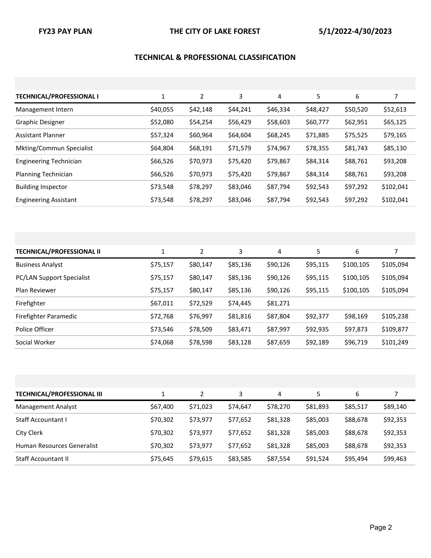# **TECHNICAL & PROFESSIONAL CLASSIFICATION**

| <b>TECHNICAL/PROFESSIONAL I</b> |          | 2        | 3        | 4        | 5        | 6        |           |
|---------------------------------|----------|----------|----------|----------|----------|----------|-----------|
| Management Intern               | \$40,055 | \$42,148 | \$44,241 | \$46,334 | \$48,427 | \$50,520 | \$52,613  |
| Graphic Designer                | \$52,080 | \$54,254 | \$56,429 | \$58,603 | \$60,777 | \$62,951 | \$65,125  |
| <b>Assistant Planner</b>        | \$57,324 | \$60,964 | \$64,604 | \$68,245 | \$71,885 | \$75,525 | \$79,165  |
| Mkting/Commun Specialist        | \$64,804 | \$68,191 | \$71,579 | \$74,967 | \$78,355 | \$81,743 | \$85,130  |
| <b>Engineering Technician</b>   | \$66,526 | \$70,973 | \$75,420 | \$79,867 | \$84,314 | \$88,761 | \$93,208  |
| <b>Planning Technician</b>      | \$66,526 | \$70,973 | \$75,420 | \$79,867 | \$84,314 | \$88,761 | \$93,208  |
| <b>Building Inspector</b>       | \$73,548 | \$78,297 | \$83,046 | \$87,794 | \$92,543 | \$97,292 | \$102,041 |
| <b>Engineering Assistant</b>    | \$73,548 | \$78,297 | \$83,046 | \$87,794 | \$92,543 | \$97,292 | \$102,041 |

| <b>TECHNICAL/PROFESSIONAL II</b> |          | 2        | 3        | 4        | 5        | 6         |           |
|----------------------------------|----------|----------|----------|----------|----------|-----------|-----------|
| <b>Business Analyst</b>          | \$75,157 | \$80,147 | \$85,136 | \$90,126 | \$95,115 | \$100,105 | \$105,094 |
| PC/LAN Support Specialist        | \$75,157 | \$80,147 | \$85,136 | \$90,126 | \$95,115 | \$100,105 | \$105,094 |
| Plan Reviewer                    | \$75,157 | \$80,147 | \$85,136 | \$90,126 | \$95,115 | \$100,105 | \$105,094 |
| Firefighter                      | \$67,011 | \$72,529 | \$74,445 | \$81,271 |          |           |           |
| Firefighter Paramedic            | \$72,768 | \$76,997 | \$81,816 | \$87,804 | \$92,377 | \$98,169  | \$105,238 |
| Police Officer                   | \$73,546 | \$78,509 | \$83,471 | \$87,997 | \$92,935 | \$97,873  | \$109,877 |
| Social Worker                    | \$74,068 | \$78,598 | \$83,128 | \$87,659 | \$92,189 | \$96,719  | \$101,249 |

| <b>TECHNICAL/PROFESSIONAL III</b> |          |          | 3        | 4        | 5.       | 6        |          |
|-----------------------------------|----------|----------|----------|----------|----------|----------|----------|
| Management Analyst                | \$67,400 | \$71,023 | \$74.647 | \$78,270 | \$81,893 | \$85,517 | \$89,140 |
| Staff Accountant I                | \$70,302 | \$73,977 | \$77,652 | \$81,328 | \$85,003 | \$88,678 | \$92,353 |
| City Clerk                        | \$70,302 | \$73,977 | \$77,652 | \$81,328 | \$85,003 | \$88,678 | \$92,353 |
| Human Resources Generalist        | \$70,302 | \$73,977 | \$77,652 | \$81,328 | \$85,003 | \$88,678 | \$92,353 |
| <b>Staff Accountant II</b>        | \$75,645 | \$79,615 | \$83,585 | \$87,554 | \$91,524 | \$95,494 | \$99,463 |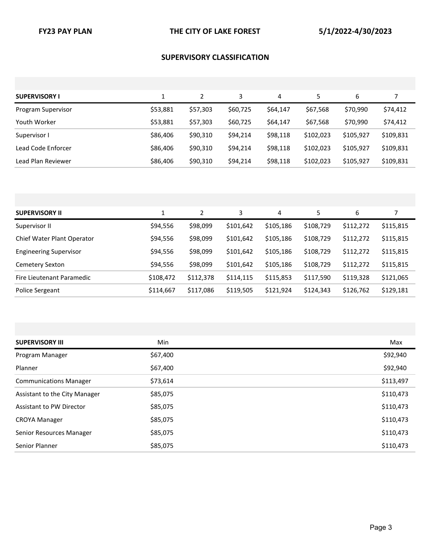# **SUPERVISORY CLASSIFICATION**

| <b>SUPERVISORY I</b> |          |          |          | 4        |           | 6         |           |
|----------------------|----------|----------|----------|----------|-----------|-----------|-----------|
| Program Supervisor   | \$53,881 | \$57,303 | \$60,725 | \$64,147 | \$67,568  | \$70,990  | \$74,412  |
| Youth Worker         | \$53,881 | \$57,303 | \$60,725 | \$64,147 | \$67,568  | \$70,990  | \$74,412  |
| Supervisor I         | \$86,406 | \$90,310 | \$94.214 | \$98,118 | \$102.023 | \$105.927 | \$109,831 |
| Lead Code Enforcer   | \$86,406 | \$90,310 | \$94,214 | \$98,118 | \$102,023 | \$105,927 | \$109,831 |
| Lead Plan Reviewer   | \$86,406 | \$90,310 | \$94,214 | \$98,118 | \$102,023 | \$105,927 | \$109,831 |

| <b>SUPERVISORY II</b>             |           |           | 3         | 4         | 5         | 6         |           |
|-----------------------------------|-----------|-----------|-----------|-----------|-----------|-----------|-----------|
| Supervisor II                     | \$94,556  | \$98,099  | \$101,642 | \$105,186 | \$108,729 | \$112,272 | \$115,815 |
| <b>Chief Water Plant Operator</b> | \$94,556  | \$98,099  | \$101,642 | \$105,186 | \$108,729 | \$112,272 | \$115,815 |
| <b>Engineering Supervisor</b>     | \$94,556  | \$98,099  | \$101,642 | \$105,186 | \$108,729 | \$112,272 | \$115,815 |
| Cemetery Sexton                   | \$94,556  | \$98,099  | \$101,642 | \$105,186 | \$108,729 | \$112,272 | \$115,815 |
| Fire Lieutenant Paramedic         | \$108,472 | \$112,378 | \$114,115 | \$115,853 | \$117,590 | \$119,328 | \$121,065 |
| Police Sergeant                   | \$114,667 | \$117,086 | \$119,505 | \$121,924 | \$124,343 | \$126,762 | \$129,181 |

| <b>SUPERVISORY III</b>        | <b>Min</b> | Max       |
|-------------------------------|------------|-----------|
| Program Manager               | \$67,400   | \$92,940  |
| Planner                       | \$67,400   | \$92,940  |
| <b>Communications Manager</b> | \$73,614   | \$113,497 |
| Assistant to the City Manager | \$85,075   | \$110,473 |
| Assistant to PW Director      | \$85,075   | \$110,473 |
| <b>CROYA Manager</b>          | \$85,075   | \$110,473 |
| Senior Resources Manager      | \$85,075   | \$110,473 |
| Senior Planner                | \$85,075   | \$110,473 |